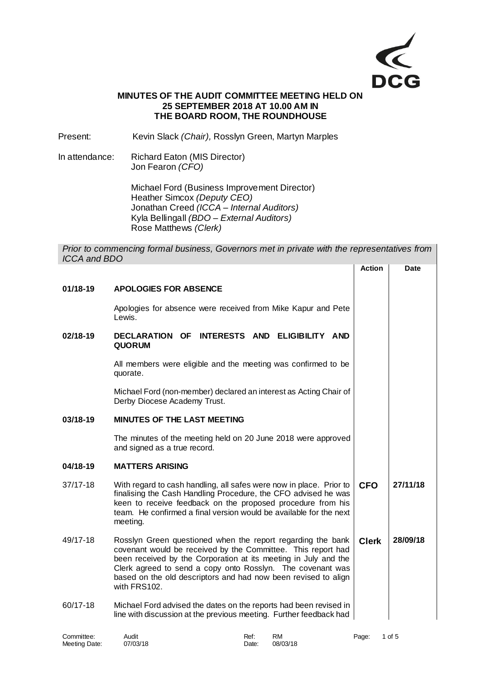

# **MINUTES OF THE AUDIT COMMITTEE MEETING HELD ON 25 SEPTEMBER 2018 AT 10.00 AM IN THE BOARD ROOM, THE ROUNDHOUSE**

Present: Kevin Slack *(Chair),* Rosslyn Green, Martyn Marples

In attendance: Richard Eaton (MIS Director) Jon Fearon *(CFO)*

> Michael Ford (Business Improvement Director) Heather Simcox *(Deputy CEO)* Jonathan Creed *(ICCA – Internal Auditors)* Kyla Bellingall *(BDO – External Auditors)* Rose Matthews *(Clerk)*

*Prior to commencing formal business, Governors met in private with the representatives from ICCA and BDO*

|            |                                                                                                                                                                                                                                                                                                                                                | <b>Action</b> | <b>Date</b> |
|------------|------------------------------------------------------------------------------------------------------------------------------------------------------------------------------------------------------------------------------------------------------------------------------------------------------------------------------------------------|---------------|-------------|
| $01/18-19$ | <b>APOLOGIES FOR ABSENCE</b>                                                                                                                                                                                                                                                                                                                   |               |             |
|            | Apologies for absence were received from Mike Kapur and Pete<br>Lewis.                                                                                                                                                                                                                                                                         |               |             |
| 02/18-19   | DECLARATION OF<br>INTERESTS AND ELIGIBILITY AND<br><b>QUORUM</b>                                                                                                                                                                                                                                                                               |               |             |
|            | All members were eligible and the meeting was confirmed to be<br>quorate.                                                                                                                                                                                                                                                                      |               |             |
|            | Michael Ford (non-member) declared an interest as Acting Chair of<br>Derby Diocese Academy Trust.                                                                                                                                                                                                                                              |               |             |
| 03/18-19   | <b>MINUTES OF THE LAST MEETING</b>                                                                                                                                                                                                                                                                                                             |               |             |
|            | The minutes of the meeting held on 20 June 2018 were approved<br>and signed as a true record.                                                                                                                                                                                                                                                  |               |             |
| 04/18-19   | <b>MATTERS ARISING</b>                                                                                                                                                                                                                                                                                                                         |               |             |
| 37/17-18   | With regard to cash handling, all safes were now in place. Prior to<br>finalising the Cash Handling Procedure, the CFO advised he was<br>keen to receive feedback on the proposed procedure from his<br>team. He confirmed a final version would be available for the next<br>meeting.                                                         | <b>CFO</b>    | 27/11/18    |
| 49/17-18   | Rosslyn Green questioned when the report regarding the bank<br>covenant would be received by the Committee. This report had<br>been received by the Corporation at its meeting in July and the<br>Clerk agreed to send a copy onto Rosslyn. The covenant was<br>based on the old descriptors and had now been revised to align<br>with FRS102. | <b>Clerk</b>  | 28/09/18    |
| 60/17-18   | Michael Ford advised the dates on the reports had been revised in<br>line with discussion at the previous meeting. Further feedback had                                                                                                                                                                                                        |               |             |

| Committee:    | Audit    | Ref:  | <b>RM</b> | Page: | 1 of 5 |
|---------------|----------|-------|-----------|-------|--------|
| Meeting Date: | 07/03/18 | Date: | 08/03/18  |       |        |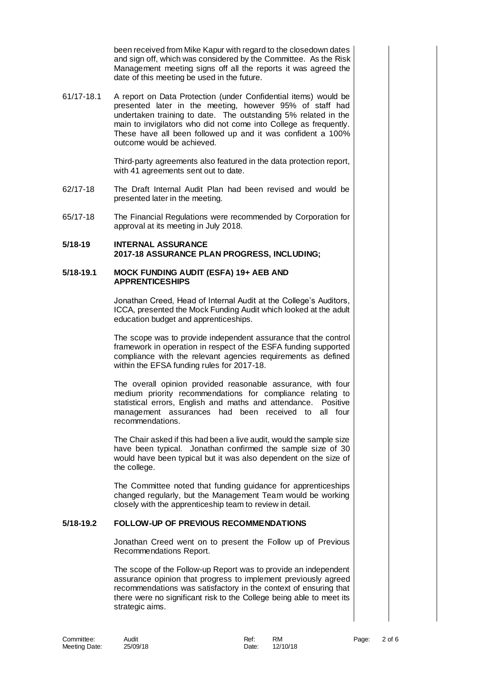been received from Mike Kapur with regard to the closedown dates and sign off, which was considered by the Committee. As the Risk Management meeting signs off all the reports it was agreed the date of this meeting be used in the future.

61/17-18.1 A report on Data Protection (under Confidential items) would be presented later in the meeting, however 95% of staff had undertaken training to date. The outstanding 5% related in the main to invigilators who did not come into College as frequently. These have all been followed up and it was confident a 100% outcome would be achieved.

> Third-party agreements also featured in the data protection report, with 41 agreements sent out to date.

- 62/17-18 The Draft Internal Audit Plan had been revised and would be presented later in the meeting.
- 65/17-18 The Financial Regulations were recommended by Corporation for approval at its meeting in July 2018.

## **5/18-19 INTERNAL ASSURANCE 2017-18 ASSURANCE PLAN PROGRESS, INCLUDING;**

### **5/18-19.1 MOCK FUNDING AUDIT (ESFA) 19+ AEB AND APPRENTICESHIPS**

Jonathan Creed, Head of Internal Audit at the College's Auditors, ICCA, presented the Mock Funding Audit which looked at the adult education budget and apprenticeships.

The scope was to provide independent assurance that the control framework in operation in respect of the ESFA funding supported compliance with the relevant agencies requirements as defined within the EFSA funding rules for 2017-18.

The overall opinion provided reasonable assurance, with four medium priority recommendations for compliance relating to statistical errors, English and maths and attendance. Positive management assurances had been received to all four recommendations.

The Chair asked if this had been a live audit, would the sample size have been typical. Jonathan confirmed the sample size of 30 would have been typical but it was also dependent on the size of the college.

The Committee noted that funding guidance for apprenticeships changed regularly, but the Management Team would be working closely with the apprenticeship team to review in detail.

# **5/18-19.2 FOLLOW-UP OF PREVIOUS RECOMMENDATIONS**

Jonathan Creed went on to present the Follow up of Previous Recommendations Report.

The scope of the Follow-up Report was to provide an independent assurance opinion that progress to implement previously agreed recommendations was satisfactory in the context of ensuring that there were no significant risk to the College being able to meet its strategic aims.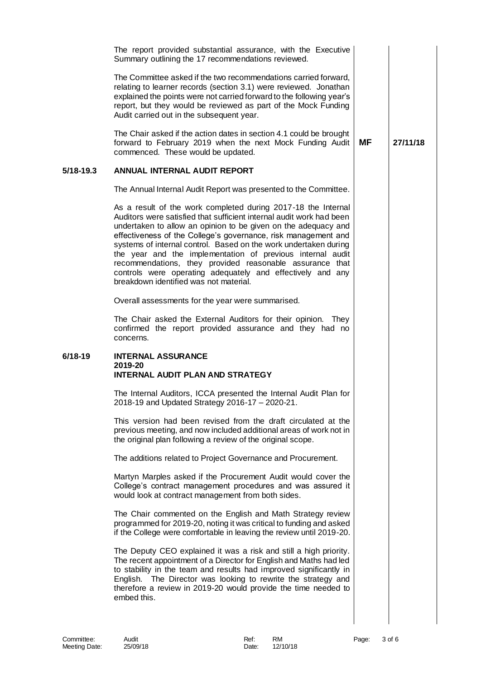|               | The report provided substantial assurance, with the Executive<br>Summary outlining the 17 recommendations reviewed.                                                                                                                                                                                                                                                                                                                                                                                                                                                             |           |          |
|---------------|---------------------------------------------------------------------------------------------------------------------------------------------------------------------------------------------------------------------------------------------------------------------------------------------------------------------------------------------------------------------------------------------------------------------------------------------------------------------------------------------------------------------------------------------------------------------------------|-----------|----------|
|               | The Committee asked if the two recommendations carried forward,<br>relating to learner records (section 3.1) were reviewed. Jonathan<br>explained the points were not carried forward to the following year's<br>report, but they would be reviewed as part of the Mock Funding<br>Audit carried out in the subsequent year.                                                                                                                                                                                                                                                    |           |          |
|               | The Chair asked if the action dates in section 4.1 could be brought<br>forward to February 2019 when the next Mock Funding Audit<br>commenced. These would be updated.                                                                                                                                                                                                                                                                                                                                                                                                          | <b>MF</b> | 27/11/18 |
| $5/18 - 19.3$ | ANNUAL INTERNAL AUDIT REPORT                                                                                                                                                                                                                                                                                                                                                                                                                                                                                                                                                    |           |          |
|               | The Annual Internal Audit Report was presented to the Committee.                                                                                                                                                                                                                                                                                                                                                                                                                                                                                                                |           |          |
|               | As a result of the work completed during 2017-18 the Internal<br>Auditors were satisfied that sufficient internal audit work had been<br>undertaken to allow an opinion to be given on the adequacy and<br>effectiveness of the College's governance, risk management and<br>systems of internal control. Based on the work undertaken during<br>the year and the implementation of previous internal audit<br>recommendations, they provided reasonable assurance that<br>controls were operating adequately and effectively and any<br>breakdown identified was not material. |           |          |
|               | Overall assessments for the year were summarised.                                                                                                                                                                                                                                                                                                                                                                                                                                                                                                                               |           |          |
|               | The Chair asked the External Auditors for their opinion. They<br>confirmed the report provided assurance and they had no<br>concerns.                                                                                                                                                                                                                                                                                                                                                                                                                                           |           |          |
| $6/18-19$     | <b>INTERNAL ASSURANCE</b><br>2019-20<br><b>INTERNAL AUDIT PLAN AND STRATEGY</b>                                                                                                                                                                                                                                                                                                                                                                                                                                                                                                 |           |          |
|               | The Internal Auditors, ICCA presented the Internal Audit Plan for<br>2018-19 and Updated Strategy 2016-17 - 2020-21.                                                                                                                                                                                                                                                                                                                                                                                                                                                            |           |          |
|               | This version had been revised from the draft circulated at the<br>previous meeting, and now included additional areas of work not in<br>the original plan following a review of the original scope.                                                                                                                                                                                                                                                                                                                                                                             |           |          |
|               | The additions related to Project Governance and Procurement.                                                                                                                                                                                                                                                                                                                                                                                                                                                                                                                    |           |          |
|               | Martyn Marples asked if the Procurement Audit would cover the<br>College's contract management procedures and was assured it<br>would look at contract management from both sides.                                                                                                                                                                                                                                                                                                                                                                                              |           |          |
|               | The Chair commented on the English and Math Strategy review<br>programmed for 2019-20, noting it was critical to funding and asked<br>if the College were comfortable in leaving the review until 2019-20.                                                                                                                                                                                                                                                                                                                                                                      |           |          |
|               | The Deputy CEO explained it was a risk and still a high priority.<br>The recent appointment of a Director for English and Maths had led<br>to stability in the team and results had improved significantly in<br>English. The Director was looking to rewrite the strategy and<br>therefore a review in 2019-20 would provide the time needed to<br>embed this.                                                                                                                                                                                                                 |           |          |
|               |                                                                                                                                                                                                                                                                                                                                                                                                                                                                                                                                                                                 |           |          |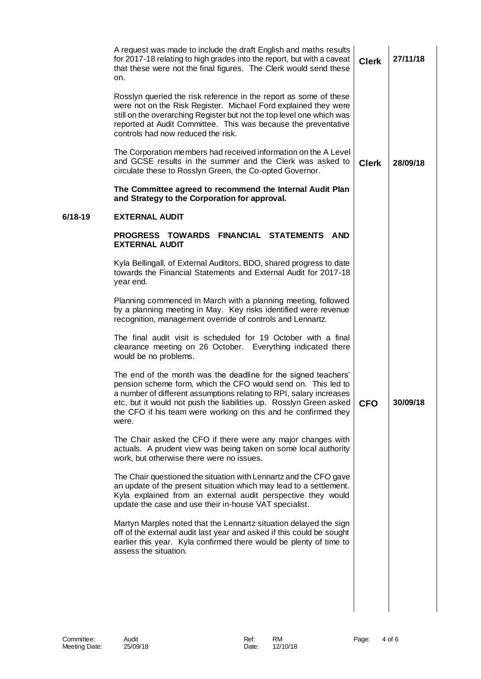|         | A request was made to include the draft English and maths results<br>for 2017-18 relating to high grades into the report, but with a caveat<br>that these were not the final figures. The Clerk would send these<br>on.                                                                                                                                   | <b>Clerk</b> | 27/11/18 |
|---------|-----------------------------------------------------------------------------------------------------------------------------------------------------------------------------------------------------------------------------------------------------------------------------------------------------------------------------------------------------------|--------------|----------|
|         | Rosslyn queried the risk reference in the report as some of these<br>were not on the Risk Register. Michael Ford explained they were<br>still on the overarching Register but not the top level one which was<br>reported at Audit Committee. This was because the preventative<br>controls had now reduced the risk.                                     |              |          |
|         | The Corporation members had received information on the A Level<br>and GCSE results in the summer and the Clerk was asked to<br>circulate these to Rosslyn Green, the Co-opted Governor.                                                                                                                                                                  | <b>Clerk</b> | 28/09/18 |
|         | The Committee agreed to recommend the Internal Audit Plan<br>and Strategy to the Corporation for approval.                                                                                                                                                                                                                                                |              |          |
| 6/18-19 | <b>EXTERNAL AUDIT</b>                                                                                                                                                                                                                                                                                                                                     |              |          |
|         | PROGRESS TOWARDS FINANCIAL STATEMENTS AND<br><b>EXTERNAL AUDIT</b>                                                                                                                                                                                                                                                                                        |              |          |
|         | Kyla Bellingall, of External Auditors, BDO, shared progress to date<br>towards the Financial Statements and External Audit for 2017-18<br>year end.                                                                                                                                                                                                       |              |          |
|         | Planning commenced in March with a planning meeting, followed<br>by a planning meeting in May. Key risks identified were revenue<br>recognition, management override of controls and Lennartz.                                                                                                                                                            |              |          |
|         | The final audit visit is scheduled for 19 October with a final<br>clearance meeting on 26 October. Everything indicated there<br>would be no problems.                                                                                                                                                                                                    |              |          |
|         | The end of the month was the deadline for the signed teachers'<br>pension scheme form, which the CFO would send on. This led to<br>a number of different assumptions relating to RPI, salary increases<br>etc, but it would not push the liabilities up. Rosslyn Green asked  <br>the CFO if his team were working on this and he confirmed they<br>were. | CFO          | 30/09/18 |
|         | The Chair asked the CFO if there were any major changes with<br>actuals. A prudent view was being taken on some local authority<br>work, but otherwise there were no issues.                                                                                                                                                                              |              |          |
|         | The Chair questioned the situation with Lennartz and the CFO gave<br>an update of the present situation which may lead to a settlement.<br>Kyla explained from an external audit perspective they would<br>update the case and use their in-house VAT specialist.                                                                                         |              |          |
|         | Martyn Marples noted that the Lennartz situation delayed the sign<br>off of the external audit last year and asked if this could be sought<br>earlier this year. Kyla confirmed there would be plenty of time to<br>assess the situation.                                                                                                                 |              |          |
|         |                                                                                                                                                                                                                                                                                                                                                           |              |          |
|         |                                                                                                                                                                                                                                                                                                                                                           |              |          |
|         |                                                                                                                                                                                                                                                                                                                                                           |              |          |
|         |                                                                                                                                                                                                                                                                                                                                                           |              |          |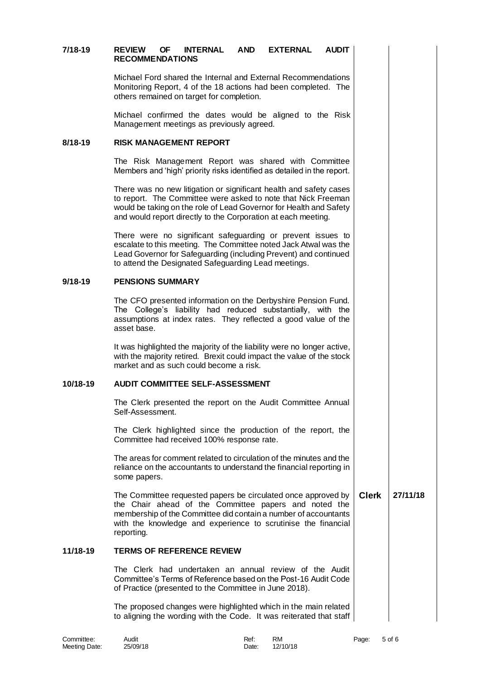# **7/18-19 REVIEW OF INTERNAL AND EXTERNAL AUDIT RECOMMENDATIONS**

Michael Ford shared the Internal and External Recommendations Monitoring Report, 4 of the 18 actions had been completed. The others remained on target for completion.

Michael confirmed the dates would be aligned to the Risk Management meetings as previously agreed.

#### **8/18-19 RISK MANAGEMENT REPORT**

The Risk Management Report was shared with Committee Members and 'high' priority risks identified as detailed in the report.

There was no new litigation or significant health and safety cases to report. The Committee were asked to note that Nick Freeman would be taking on the role of Lead Governor for Health and Safety and would report directly to the Corporation at each meeting.

There were no significant safeguarding or prevent issues to escalate to this meeting. The Committee noted Jack Atwal was the Lead Governor for Safeguarding (including Prevent) and continued to attend the Designated Safeguarding Lead meetings.

## **9/18-19 PENSIONS SUMMARY**

The CFO presented information on the Derbyshire Pension Fund. The College's liability had reduced substantially, with the assumptions at index rates. They reflected a good value of the asset base.

It was highlighted the majority of the liability were no longer active, with the majority retired. Brexit could impact the value of the stock market and as such could become a risk.

# **10/18-19 AUDIT COMMITTEE SELF-ASSESSMENT**

The Clerk presented the report on the Audit Committee Annual Self-Assessment.

The Clerk highlighted since the production of the report, the Committee had received 100% response rate.

The areas for comment related to circulation of the minutes and the reliance on the accountants to understand the financial reporting in some papers.

The Committee requested papers be circulated once approved by the Chair ahead of the Committee papers and noted the membership of the Committee did contain a number of accountants with the knowledge and experience to scrutinise the financial reporting. **Clerk 27/11/18**

## **11/18-19 TERMS OF REFERENCE REVIEW**

The Clerk had undertaken an annual review of the Audit Committee's Terms of Reference based on the Post-16 Audit Code of Practice (presented to the Committee in June 2018).

The proposed changes were highlighted which in the main related to aligning the wording with the Code. It was reiterated that staff

| Committee:    | Audit    | Ref:           | RM | Page: | 5 of 6 |
|---------------|----------|----------------|----|-------|--------|
| Meeting Date: | 25/09/18 | Date: 12/10/18 |    |       |        |